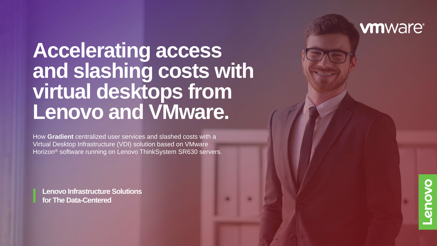## **Accelerating access and slashing costs with virtual desktops from Lenovo and VMware.**

How **Gradient** centralized user services and slashed costs with a Virtual Desktop Infrastructure (VDI) solution based on VMware Horizon® software running on Lenovo ThinkSystem SR630 servers.

**Lenovo Infrastructure Solutions for The Data-Centered** 

## **vm**ware<sup>®</sup>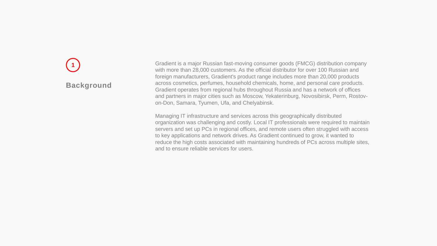## **Background**

**1** Gradient is a major Russian fast-moving consumer goods (FMCG) distribution company with more than 28,000 customers. As the official distributor for over 100 Russian and foreign manufacturers, Gradient's product range includes more than 20,000 products across cosmetics, perfumes, household chemicals, home, and personal care products. Gradient operates from regional hubs throughout Russia and has a network of offices and partners in major cities such as Moscow, Yekaterinburg, Novosibirsk, Perm, Rostovon-Don, Samara, Tyumen, Ufa, and Chelyabinsk.

Managing IT infrastructure and services across this geographically distributed organization was challenging and costly. Local IT professionals were required to maintain servers and set up PCs in regional offices, and remote users often struggled with access to key applications and network drives. As Gradient continued to grow, it wanted to reduce the high costs associated with maintaining hundreds of PCs across multiple sites, and to ensure reliable services for users.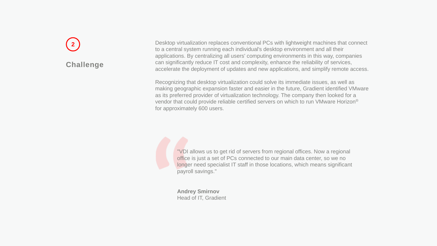# **Challenge**

**2** Desktop virtualization replaces conventional PCs with lightweight machines that connect to a central system running each individual's desktop environment and all their applications. By centralizing all users' computing environments in this way, companies can significantly reduce IT cost and complexity, enhance the reliability of services, accelerate the deployment of updates and new applications, and simplify remote access.

Recognizing that desktop virtualization could solve its immediate issues, as well as making geographic expansion faster and easier in the future, Gradient identified VMware as its preferred provider of virtualization technology. The company then looked for a vendor that could provide reliable certified servers on which to run VMware Horizon® for approximately 600 users.

> "VDI allows us to get rid of servers from regional offices. Now a regional office is just a set of PCs connected to our main data center, so we no longer need specialist IT staff in those locations, which means significant payroll savings."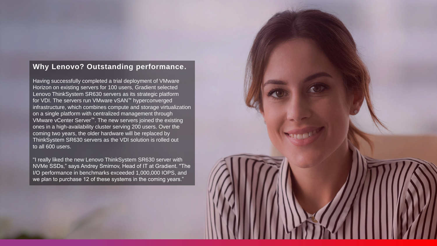#### **Why Lenovo? Outstanding performance.**

Having successfully completed a trial deployment of VMware Horizon on existing servers for 100 users, Gradient selected Lenovo ThinkSystem SR630 servers as its strategic platform for VDI. The servers run VMware vSAN™ hyperconverged infrastructure, which combines compute and storage virtualization on a single platform with centralized management through VMware vCenter Server™. The new servers joined the existing ones in a high-availability cluster serving 200 users. Over the coming two years, the older hardware will be replaced by ThinkSystem SR630 servers as the VDI solution is rolled out to all 600 users.

"I really liked the new Lenovo ThinkSystem SR630 server with NVMe SSDs," says Andrey Smirnov, Head of IT at Gradient. "The I/O performance in benchmarks exceeded 1,000,000 IOPS, and we plan to purchase 12 of these systems in the coming years."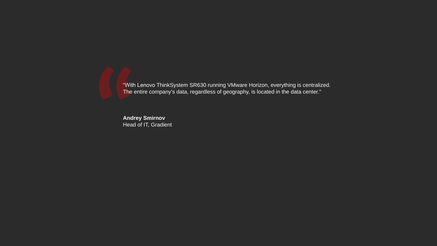"With Lenovo ThinkSystem SR630 running VMware Horizon, everything is centralized. The entire company's data, regardless of geography, is located in the data center."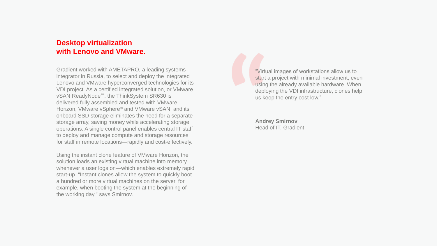#### **Desktop virtualization with Lenovo and VMware.**

Gradient worked with AMETAPRO, a leading systems integrator in Russia, to select and deploy the integrated Lenovo and VMware hyperconverged technologies for its VDI project. As a certified integrated solution, or VMware vSAN ReadyNode™, the ThinkSystem SR630 is delivered fully assembled and tested with VMware Horizon, VMware vSphere® and VMware vSAN, and its onboard SSD storage eliminates the need for a separate storage array, saving money while accelerating storage operations. A single control panel enables central IT staff to deploy and manage compute and storage resources for staff in remote locations—rapidly and cost-effectively.

Using the instant clone feature of VMware Horizon, the solution loads an existing virtual machine into memory whenever a user logs on—which enables extremely rapid start-up. "Instant clones allow the system to quickly boot a hundred or more virtual machines on the server, for example, when booting the system at the beginning of the working day," says Smirnov.

"Virtual images of workstations allow us to start a project with minimal investment, even using the already available hardware. When deploying the VDI infrastructure, clones help us keep the entry cost low."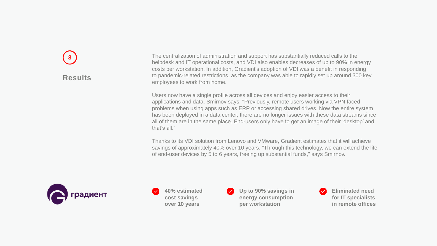## **Results 3**

The centralization of administration and support has substantially reduced calls to the helpdesk and IT operational costs, and VDI also enables decreases of up to 90% in energy costs per workstation. In addition, Gradient's adoption of VDI was a benefit in responding to pandemic-related restrictions, as the company was able to rapidly set up around 300 key employees to work from home.

Users now have a single profile across all devices and enjoy easier access to their applications and data. Smirnov says: "Previously, remote users working via VPN faced problems when using apps such as ERP or accessing shared drives. Now the entire system has been deployed in a data center, there are no longer issues with these data streams since all of them are in the same place. End-users only have to get an image of their 'desktop' and that's all."

Thanks to its VDI solution from Lenovo and VMware, Gradient estimates that it will achieve savings of approximately 40% over 10 years. "Through this technology, we can extend the life of end-user devices by 5 to 6 years, freeing up substantial funds," says Smirnov.



**40% estimated cost savings over 10 years**

**Up to 90% savings in energy consumption per workstation**

**Eliminated need for IT specialists in remote offices**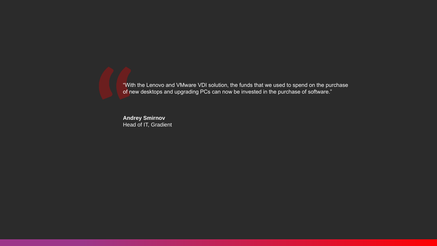"With the Lenovo and VMware VDI solution, the funds that we used to spend on the purchase of new desktops and upgrading PCs can now be invested in the purchase of software."